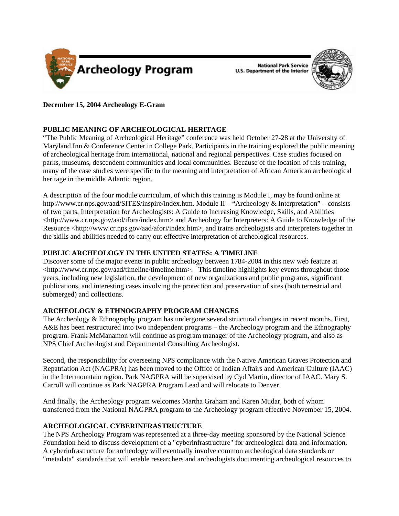

**National Park Service U.S. Department of the Interior** 



**December 15, 2004 Archeology E-Gram**

## **PUBLIC MEANING OF ARCHEOLOGICAL HERITAGE**

"The Public Meaning of Archeological Heritage" conference was held October 27-28 at the University of Maryland Inn & Conference Center in College Park. Participants in the training explored the public meaning of archeological heritage from international, national and regional perspectives. Case studies focused on parks, museums, descendent communities and local communities. Because of the location of this training, many of the case studies were specific to the meaning and interpretation of African American archeological heritage in the middle Atlantic region.

A description of the four module curriculum, of which this training is Module I, may be found online at [http://www.cr.nps.gov/aad/SITES/inspire/index.htm.](http://www.cr.nps.gov/aad/SITES/inspire/index.htm) Module II – "Archeology & Interpretation" – consists of two parts, Interpretation for Archeologists: A Guide to Increasing Knowledge, Skills, and Abilities [<http://www.cr.nps.gov/aad/ifora/index.htm](http://www.cr.nps.gov/aad/ifora/index.htm)> and Archeology for Interpreters: A Guide to Knowledge of the Resource <<http://www.cr.nps.gov/aad/afori/index.htm>>, and trains archeologists and interpreters together in the skills and abilities needed to carry out effective interpretation of archeological resources.

## **PUBLIC ARCHEOLOGY IN THE UNITED STATES: A TIMELINE**

Discover some of the major events in public archeology between 1784-2004 in this new web feature at [<http://www.cr.nps.gov/aad/timeline/timeline.htm](http://www.cr.nps.gov/aad/timeline/timeline.htm)>. This timeline highlights key events throughout those years, including new legislation, the development of new organizations and public programs, significant publications, and interesting cases involving the protection and preservation of sites (both terrestrial and submerged) and collections.

## **ARCHEOLOGY & ETHNOGRAPHY PROGRAM CHANGES**

The Archeology & Ethnography program has undergone several structural changes in recent months. First, A&E has been restructured into two independent programs – the Archeology program and the Ethnography program. Frank McManamon will continue as program manager of the Archeology program, and also as NPS Chief Archeologist and Departmental Consulting Archeologist.

Second, the responsibility for overseeing NPS compliance with the Native American Graves Protection and Repatriation Act (NAGPRA) has been moved to the Office of Indian Affairs and American Culture (IAAC) in the Intermountain region. Park NAGPRA will be supervised by Cyd Martin, director of IAAC. Mary S. Carroll will continue as Park NAGPRA Program Lead and will relocate to Denver.

And finally, the Archeology program welcomes Martha Graham and Karen Mudar, both of whom transferred from the National NAGPRA program to the Archeology program effective November 15, 2004.

## **ARCHEOLOGICAL CYBERINFRASTRUCTURE**

The NPS Archeology Program was represented at a three-day meeting sponsored by the National Science Foundation held to discuss development of a "cyberinfrastructure" for archeological data and information. A cyberinfrastructure for archeology will eventually involve common archeological data standards or "metadata" standards that will enable researchers and archeologists documenting archeological resources to